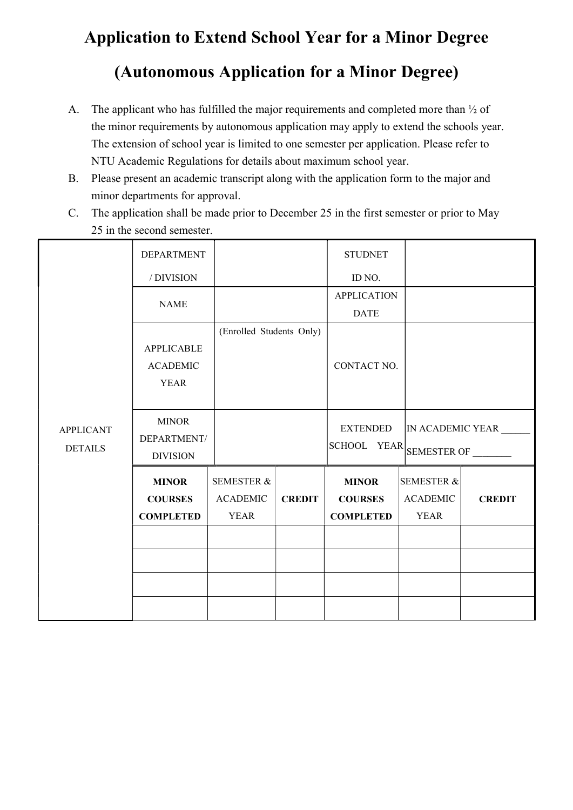## Application to Extend School Year for a Minor Degree (Autonomous Application for a Minor Degree)

- A. The applicant who has fulfilled the major requirements and completed more than ½ of the minor requirements by autonomous application may apply to extend the schools year. The extension of school year is limited to one semester per application. Please refer to NTU Academic Regulations for details about maximum school year.
- B. Please present an academic transcript along with the application form to the major and minor departments for approval.
- C. The application shall be made prior to December 25 in the first semester or prior to May 25 in the second semester.

|                                    | <b>DEPARTMENT</b> |                          |               | <b>STUDNET</b>     |                       |                  |
|------------------------------------|-------------------|--------------------------|---------------|--------------------|-----------------------|------------------|
|                                    | /DIVISION         |                          |               | ID NO.             |                       |                  |
|                                    | <b>NAME</b>       |                          |               | <b>APPLICATION</b> |                       |                  |
|                                    |                   |                          |               | <b>DATE</b>        |                       |                  |
|                                    |                   | (Enrolled Students Only) |               |                    |                       |                  |
|                                    | <b>APPLICABLE</b> |                          |               |                    |                       |                  |
|                                    | <b>ACADEMIC</b>   |                          |               | CONTACT NO.        |                       |                  |
|                                    | <b>YEAR</b>       |                          |               |                    |                       |                  |
| <b>APPLICANT</b><br><b>DETAILS</b> |                   |                          |               |                    |                       |                  |
|                                    | <b>MINOR</b>      |                          |               | <b>EXTENDED</b>    |                       | IN ACADEMIC YEAR |
|                                    | DEPARTMENT/       |                          |               | <b>SCHOOL</b>      | YEAR SEMESTER OF      |                  |
|                                    | <b>DIVISION</b>   |                          |               |                    |                       |                  |
|                                    | <b>MINOR</b>      | <b>SEMESTER &amp;</b>    |               | <b>MINOR</b>       | <b>SEMESTER &amp;</b> |                  |
|                                    | <b>COURSES</b>    | <b>ACADEMIC</b>          | <b>CREDIT</b> | <b>COURSES</b>     | <b>ACADEMIC</b>       | <b>CREDIT</b>    |
|                                    | <b>COMPLETED</b>  | <b>YEAR</b>              |               | <b>COMPLETED</b>   | <b>YEAR</b>           |                  |
|                                    |                   |                          |               |                    |                       |                  |
|                                    |                   |                          |               |                    |                       |                  |
|                                    |                   |                          |               |                    |                       |                  |
|                                    |                   |                          |               |                    |                       |                  |